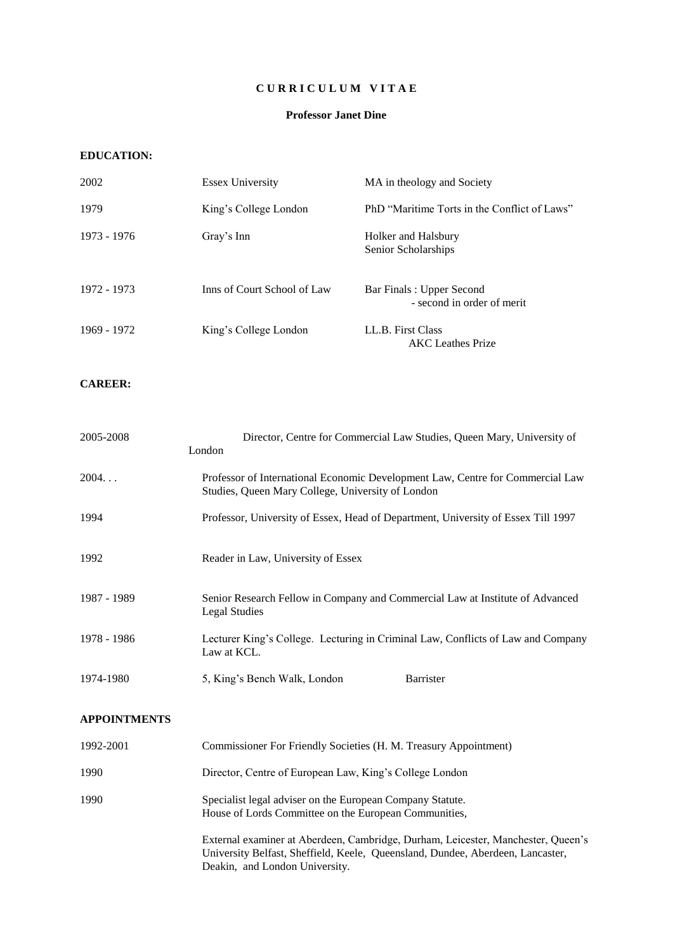## **C U R R I C U L U M V I T A E**

### **Professor Janet Dine**

### **EDUCATION:**

| 2002        | <b>Essex University</b>     | MA in theology and Society                             |
|-------------|-----------------------------|--------------------------------------------------------|
| 1979        | King's College London       | PhD "Maritime Torts in the Conflict of Laws"           |
| 1973 - 1976 | Gray's Inn                  | Holker and Halsbury<br>Senior Scholarships             |
| 1972 - 1973 | Inns of Court School of Law | Bar Finals: Upper Second<br>- second in order of merit |
| 1969 - 1972 | King's College London       | LL.B. First Class<br><b>AKC</b> Leathes Prize          |

#### **CAREER:**

| 2005-2008           | Director, Centre for Commercial Law Studies, Queen Mary, University of<br>London                                                    |  |  |
|---------------------|-------------------------------------------------------------------------------------------------------------------------------------|--|--|
| 2004                | Professor of International Economic Development Law, Centre for Commercial Law<br>Studies, Queen Mary College, University of London |  |  |
| 1994                | Professor, University of Essex, Head of Department, University of Essex Till 1997                                                   |  |  |
| 1992                | Reader in Law, University of Essex                                                                                                  |  |  |
| 1987 - 1989         | Senior Research Fellow in Company and Commercial Law at Institute of Advanced<br><b>Legal Studies</b>                               |  |  |
| 1978 - 1986         | Lecturer King's College. Lecturing in Criminal Law, Conflicts of Law and Company<br>Law at KCL.                                     |  |  |
| 1974-1980           | <b>Barrister</b><br>5, King's Bench Walk, London                                                                                    |  |  |
| <b>APPOINTMENTS</b> |                                                                                                                                     |  |  |
| 1992-2001           | Commissioner For Friendly Societies (H. M. Treasury Appointment)                                                                    |  |  |
| 1990                | Director, Centre of European Law, King's College London                                                                             |  |  |
| 1990                | Specialist legal adviser on the European Company Statute.<br>House of Lords Committee on the European Communities,                  |  |  |
|                     | External examiner at Aberdeen, Cambridge, Durham, Leicester, Manchester, Queen's                                                    |  |  |

University Belfast, Sheffield, Keele, Queensland, Dundee, Aberdeen, Lancaster, Deakin, and London University.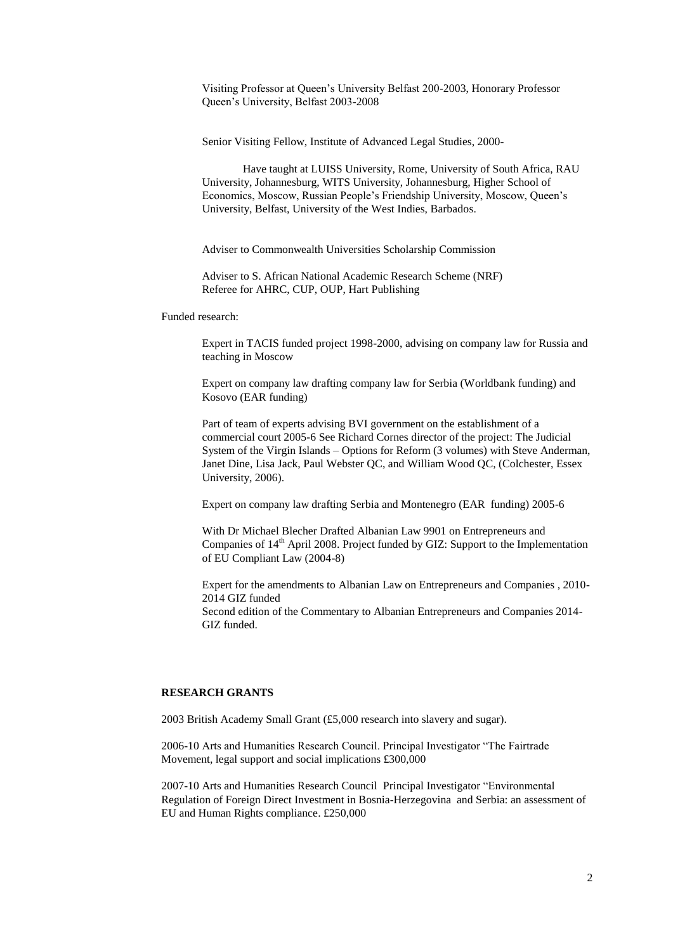Visiting Professor at Queen's University Belfast 200-2003, Honorary Professor Queen's University, Belfast 2003-2008

Senior Visiting Fellow, Institute of Advanced Legal Studies, 2000-

Have taught at LUISS University, Rome, University of South Africa, RAU University, Johannesburg, WITS University, Johannesburg, Higher School of Economics, Moscow, Russian People's Friendship University, Moscow, Queen's University, Belfast, University of the West Indies, Barbados.

Adviser to Commonwealth Universities Scholarship Commission

Adviser to S. African National Academic Research Scheme (NRF) Referee for AHRC, CUP, OUP, Hart Publishing

Funded research:

Expert in TACIS funded project 1998-2000, advising on company law for Russia and teaching in Moscow

Expert on company law drafting company law for Serbia (Worldbank funding) and Kosovo (EAR funding)

Part of team of experts advising BVI government on the establishment of a commercial court 2005-6 See Richard Cornes director of the project: The Judicial System of the Virgin Islands – Options for Reform (3 volumes) with Steve Anderman, Janet Dine, Lisa Jack, Paul Webster QC, and William Wood QC, (Colchester, Essex University, 2006).

Expert on company law drafting Serbia and Montenegro (EAR funding) 2005-6

With Dr Michael Blecher Drafted Albanian Law 9901 on Entrepreneurs and Companies of 14<sup>th</sup> April 2008. Project funded by GIZ: Support to the Implementation of EU Compliant Law (2004-8)

Expert for the amendments to Albanian Law on Entrepreneurs and Companies , 2010- 2014 GIZ funded Second edition of the Commentary to Albanian Entrepreneurs and Companies 2014- GIZ funded.

#### **RESEARCH GRANTS**

2003 British Academy Small Grant (£5,000 research into slavery and sugar).

2006-10 Arts and Humanities Research Council. Principal Investigator "The Fairtrade Movement, legal support and social implications £300,000

2007-10 Arts and Humanities Research Council Principal Investigator "Environmental Regulation of Foreign Direct Investment in Bosnia-Herzegovina and Serbia: an assessment of EU and Human Rights compliance. £250,000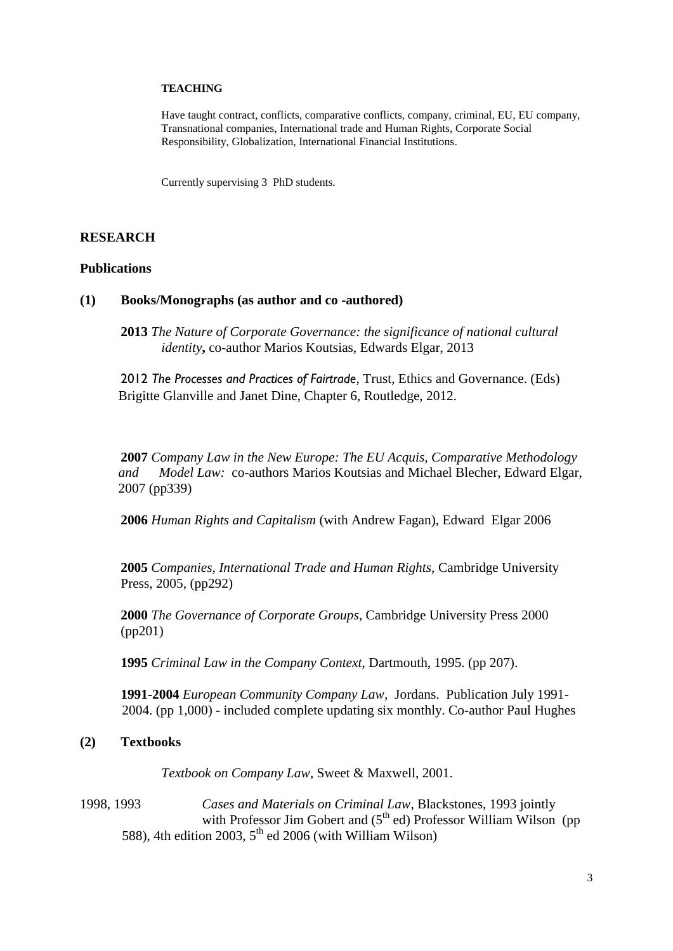## **TEACHING**

Have taught contract, conflicts, comparative conflicts, company, criminal, EU, EU company, Transnational companies, International trade and Human Rights, Corporate Social Responsibility, Globalization, International Financial Institutions.

Currently supervising 3 PhD students.

## **RESEARCH**

## **Publications**

## **(1) Books/Monographs (as author and co -authored)**

**2013** *The Nature of Corporate Governance: the significance of national cultural identity***,** co-author Marios Koutsias, Edwards Elgar, 2013

2012 *The Processes and Practices of Fairtrade*, Trust, Ethics and Governance. (Eds) Brigitte Glanville and Janet Dine, Chapter 6, Routledge, 2012.

**2007** *Company Law in the New Europe: The EU Acquis, Comparative Methodology and Model Law:* co-authors Marios Koutsias and Michael Blecher, Edward Elgar, 2007 (pp339)

**2006** *Human Rights and Capitalism* (with Andrew Fagan), Edward Elgar 2006

**2005** *Companies, International Trade and Human Rights,* Cambridge University Press, 2005, (pp292)

**2000** *The Governance of Corporate Groups*, Cambridge University Press 2000 (pp201)

**1995** *Criminal Law in the Company Context*, Dartmouth, 1995. (pp 207).

**1991-2004** *European Community Company Law*, Jordans. Publication July 1991- 2004. (pp 1,000) - included complete updating six monthly. Co-author Paul Hughes

## **(2) Textbooks**

*Textbook on Company Law*, Sweet & Maxwell, 2001.

1998, 1993 *Cases and Materials on Criminal Law*, Blackstones, 1993 jointly with Professor Jim Gobert and  $(5<sup>th</sup>$  ed) Professor William Wilson (pp 588), 4th edition 2003,  $5<sup>th</sup>$  ed 2006 (with William Wilson)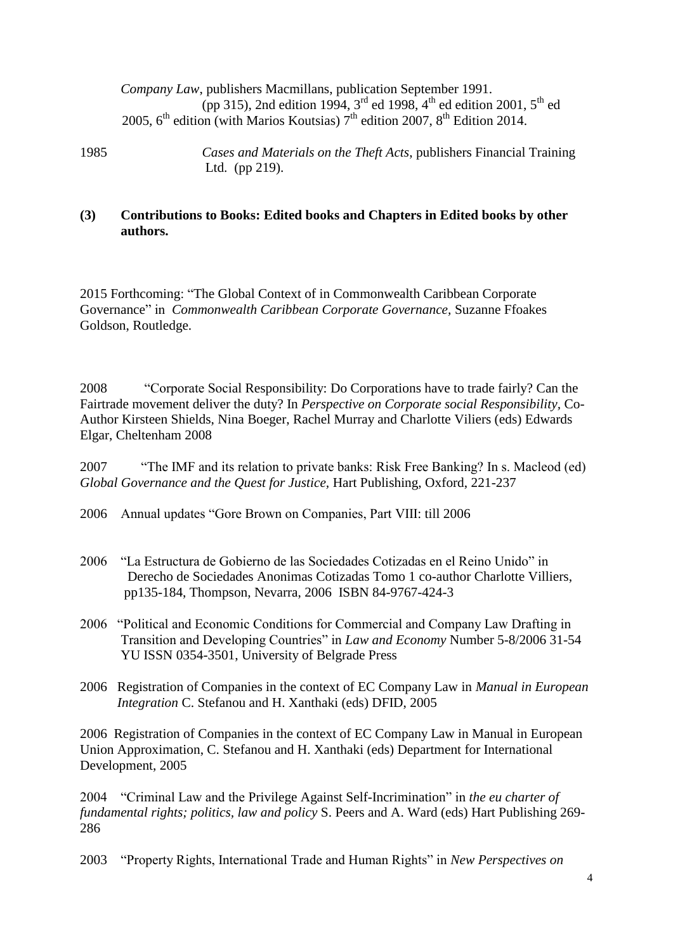*Company Law*, publishers Macmillans, publication September 1991. (pp 315), 2nd edition 1994, 3<sup>rd</sup> ed 1998, 4<sup>th</sup> ed edition 2001, 5<sup>th</sup> ed 2005,  $6^{\text{th}}$  edition (with Marios Koutsias)  $7^{\text{th}}$  edition 2007,  $8^{\text{th}}$  Edition 2014.

1985 *Cases and Materials on the Theft Acts*, publishers Financial Training Ltd. (pp 219).

# **(3) Contributions to Books: Edited books and Chapters in Edited books by other authors.**

2015 Forthcoming: "The Global Context of in Commonwealth Caribbean Corporate Governance" in *Commonwealth Caribbean Corporate Governance,* Suzanne Ffoakes Goldson, Routledge.

2008 "Corporate Social Responsibility: Do Corporations have to trade fairly? Can the Fairtrade movement deliver the duty? In *Perspective on Corporate social Responsibility,* Co-Author Kirsteen Shields, Nina Boeger, Rachel Murray and Charlotte Viliers (eds) Edwards Elgar, Cheltenham 2008

2007 "The IMF and its relation to private banks: Risk Free Banking? In s. Macleod (ed) *Global Governance and the Quest for Justice,* Hart Publishing, Oxford, 221-237

2006 Annual updates "Gore Brown on Companies, Part VIII: till 2006

- 2006 "La Estructura de Gobierno de las Sociedades Cotizadas en el Reino Unido" in Derecho de Sociedades Anonimas Cotizadas Tomo 1 co-author Charlotte Villiers, pp135-184, Thompson, Nevarra, 2006 ISBN 84-9767-424-3
- 2006 "Political and Economic Conditions for Commercial and Company Law Drafting in Transition and Developing Countries" in *Law and Economy* Number 5-8/2006 31-54 YU ISSN 0354-3501, University of Belgrade Press
- 2006 Registration of Companies in the context of EC Company Law in *Manual in European Integration* C. Stefanou and H. Xanthaki (eds) DFID, 2005

2006 Registration of Companies in the context of EC Company Law in Manual in European Union Approximation, C. Stefanou and H. Xanthaki (eds) Department for International Development, 2005

2004 "Criminal Law and the Privilege Against Self-Incrimination" in *the eu charter of fundamental rights; politics, law and policy* S. Peers and A. Ward (eds) Hart Publishing 269- 286

2003 "Property Rights, International Trade and Human Rights" in *New Perspectives on*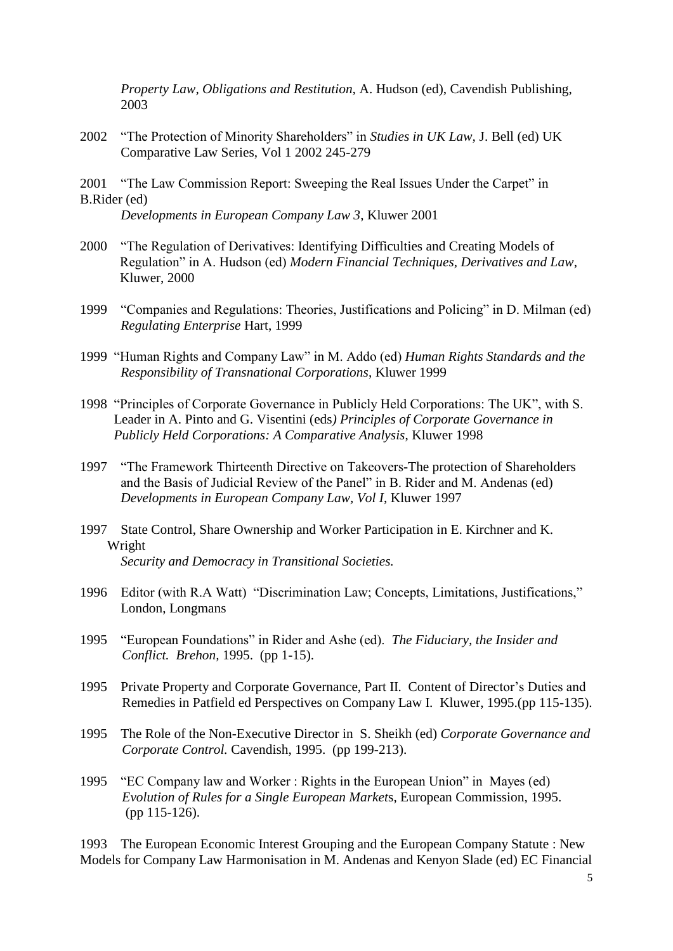*Property Law, Obligations and Restitution,* A. Hudson (ed), Cavendish Publishing, 2003

- 2002 "The Protection of Minority Shareholders" in *Studies in UK Law,* J. Bell (ed) UK Comparative Law Series, Vol 1 2002 245-279
- 2001 "The Law Commission Report: Sweeping the Real Issues Under the Carpet" in B.Rider (ed)

*Developments in European Company Law 3*, Kluwer 2001

- 2000 "The Regulation of Derivatives: Identifying Difficulties and Creating Models of Regulation" in A. Hudson (ed) *Modern Financial Techniques, Derivatives and Law*, Kluwer, 2000
- 1999 "Companies and Regulations: Theories, Justifications and Policing" in D. Milman (ed) *Regulating Enterprise* Hart, 1999
- 1999 "Human Rights and Company Law" in M. Addo (ed) *Human Rights Standards and the Responsibility of Transnational Corporations*, Kluwer 1999
- 1998 "Principles of Corporate Governance in Publicly Held Corporations: The UK", with S. Leader in A. Pinto and G. Visentini (eds*) Principles of Corporate Governance in Publicly Held Corporations: A Comparative Analysis*, Kluwer 1998
- 1997 "The Framework Thirteenth Directive on Takeovers-The protection of Shareholders and the Basis of Judicial Review of the Panel" in B. Rider and M. Andenas (ed) *Developments in European Company Law, Vol I*, Kluwer 1997
- 1997 State Control, Share Ownership and Worker Participation in E. Kirchner and K. Wright *Security and Democracy in Transitional Societies.*
- 1996 Editor (with R.A Watt) "Discrimination Law; Concepts, Limitations, Justifications," London, Longmans
- 1995 "European Foundations" in Rider and Ashe (ed). *The Fiduciary, the Insider and Conflict. Brehon,* 1995. (pp 1-15).
- 1995 Private Property and Corporate Governance, Part II. Content of Director's Duties and Remedies in Patfield ed Perspectives on Company Law I. Kluwer, 1995.(pp 115-135).
- 1995 The Role of the Non-Executive Director in S. Sheikh (ed) *Corporate Governance and Corporate Control.* Cavendish, 1995. (pp 199-213).
- 1995 "EC Company law and Worker : Rights in the European Union" in Mayes (ed) *Evolution of Rules for a Single European Market*s, European Commission, 1995. (pp 115-126).

1993 The European Economic Interest Grouping and the European Company Statute : New Models for Company Law Harmonisation in M. Andenas and Kenyon Slade (ed) EC Financial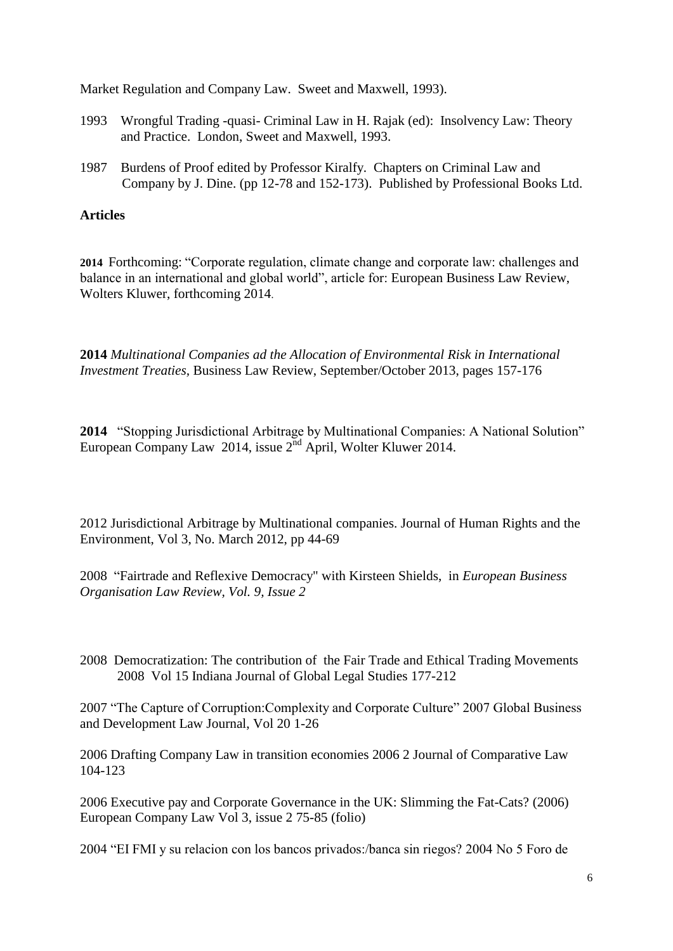Market Regulation and Company Law. Sweet and Maxwell, 1993).

- 1993 Wrongful Trading -quasi- Criminal Law in H. Rajak (ed): Insolvency Law: Theory and Practice. London, Sweet and Maxwell, 1993.
- 1987 Burdens of Proof edited by Professor Kiralfy. Chapters on Criminal Law and Company by J. Dine. (pp 12-78 and 152-173). Published by Professional Books Ltd.

# **Articles**

**2014** Forthcoming: "Corporate regulation, climate change and corporate law: challenges and balance in an international and global world", article for: European Business Law Review, Wolters Kluwer, forthcoming 2014.

**2014** *Multinational Companies ad the Allocation of Environmental Risk in International Investment Treaties,* Business Law Review, September/October 2013, pages 157-176

**2014** "Stopping Jurisdictional Arbitrage by Multinational Companies: A National Solution" European Company Law 2014, issue  $2<sup>nd</sup>$  April, Wolter Kluwer 2014.

2012 Jurisdictional Arbitrage by Multinational companies. Journal of Human Rights and the Environment, Vol 3, No. March 2012, pp 44-69

2008 "Fairtrade and Reflexive Democracy" with Kirsteen Shields, in *European Business Organisation Law Review, Vol. 9, Issue 2*

2008 Democratization: The contribution of the Fair Trade and Ethical Trading Movements 2008 Vol 15 Indiana Journal of Global Legal Studies 177-212

2007 "The Capture of Corruption:Complexity and Corporate Culture" 2007 Global Business and Development Law Journal, Vol 20 1-26

2006 Drafting Company Law in transition economies 2006 2 Journal of Comparative Law 104-123

2006 Executive pay and Corporate Governance in the UK: Slimming the Fat-Cats? (2006) European Company Law Vol 3, issue 2 75-85 (folio)

2004 "EI FMI y su relacion con los bancos privados:/banca sin riegos? 2004 No 5 Foro de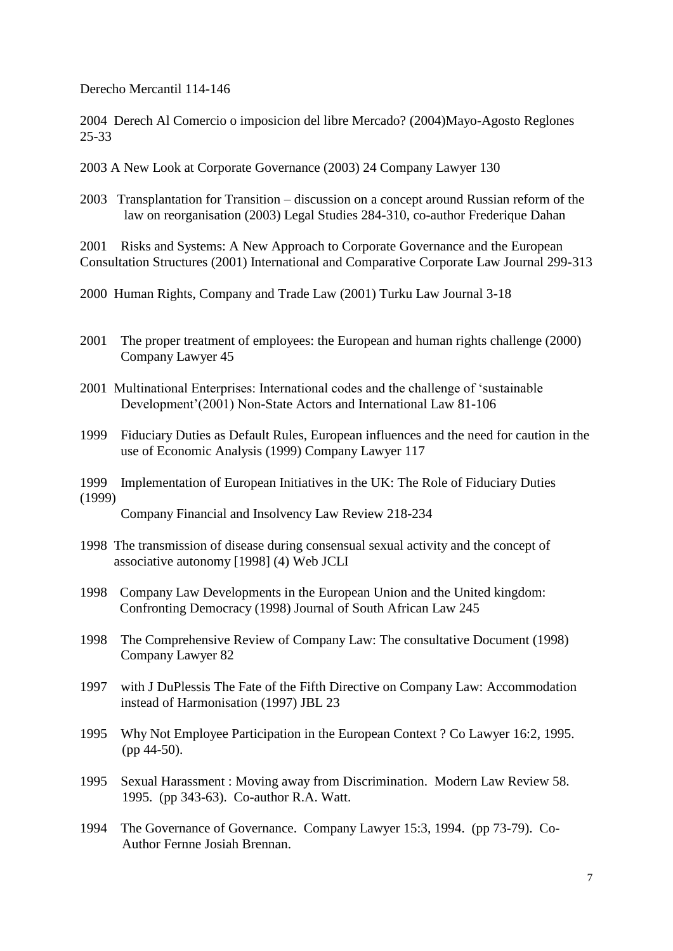Derecho Mercantil 114-146

2004 Derech Al Comercio o imposicion del libre Mercado? (2004)Mayo-Agosto Reglones 25-33

- 2003 A New Look at Corporate Governance (2003) 24 Company Lawyer 130
- 2003 Transplantation for Transition discussion on a concept around Russian reform of the law on reorganisation (2003) Legal Studies 284-310, co-author Frederique Dahan

2001 Risks and Systems: A New Approach to Corporate Governance and the European Consultation Structures (2001) International and Comparative Corporate Law Journal 299-313

2000 Human Rights, Company and Trade Law (2001) Turku Law Journal 3-18

- 2001 The proper treatment of employees: the European and human rights challenge (2000) Company Lawyer 45
- 2001 Multinational Enterprises: International codes and the challenge of 'sustainable Development'(2001) Non-State Actors and International Law 81-106
- 1999 Fiduciary Duties as Default Rules, European influences and the need for caution in the use of Economic Analysis (1999) Company Lawyer 117
- 1999 Implementation of European Initiatives in the UK: The Role of Fiduciary Duties (1999)

Company Financial and Insolvency Law Review 218-234

- 1998 The transmission of disease during consensual sexual activity and the concept of associative autonomy [1998] (4) Web JCLI
- 1998 Company Law Developments in the European Union and the United kingdom: Confronting Democracy (1998) Journal of South African Law 245
- 1998 The Comprehensive Review of Company Law: The consultative Document (1998) Company Lawyer 82
- 1997 with J DuPlessis The Fate of the Fifth Directive on Company Law: Accommodation instead of Harmonisation (1997) JBL 23
- 1995 Why Not Employee Participation in the European Context ? Co Lawyer 16:2, 1995. (pp 44-50).
- 1995 Sexual Harassment : Moving away from Discrimination. Modern Law Review 58. 1995. (pp 343-63). Co-author R.A. Watt.
- 1994 The Governance of Governance. Company Lawyer 15:3, 1994. (pp 73-79). Co-Author Fernne Josiah Brennan.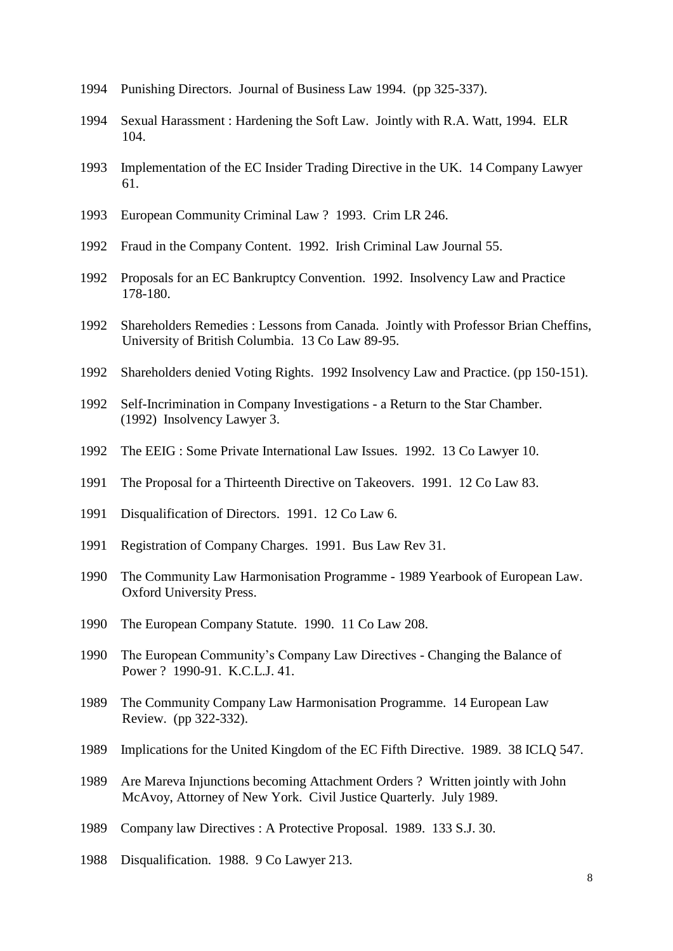- Punishing Directors. Journal of Business Law 1994. (pp 325-337).
- Sexual Harassment : Hardening the Soft Law. Jointly with R.A. Watt, 1994. ELR 104.
- Implementation of the EC Insider Trading Directive in the UK. 14 Company Lawyer 61.
- European Community Criminal Law ? 1993. Crim LR 246.
- Fraud in the Company Content. 1992. Irish Criminal Law Journal 55.
- Proposals for an EC Bankruptcy Convention. 1992. Insolvency Law and Practice 178-180.
- Shareholders Remedies : Lessons from Canada. Jointly with Professor Brian Cheffins, University of British Columbia. 13 Co Law 89-95.
- Shareholders denied Voting Rights. 1992 Insolvency Law and Practice. (pp 150-151).
- Self-Incrimination in Company Investigations a Return to the Star Chamber. (1992) Insolvency Lawyer 3.
- The EEIG : Some Private International Law Issues. 1992. 13 Co Lawyer 10.
- The Proposal for a Thirteenth Directive on Takeovers. 1991. 12 Co Law 83.
- Disqualification of Directors. 1991. 12 Co Law 6.
- Registration of Company Charges. 1991. Bus Law Rev 31.
- The Community Law Harmonisation Programme 1989 Yearbook of European Law. Oxford University Press.
- The European Company Statute. 1990. 11 Co Law 208.
- The European Community's Company Law Directives Changing the Balance of Power ? 1990-91. K.C.L.J. 41.
- The Community Company Law Harmonisation Programme. 14 European Law Review. (pp 322-332).
- Implications for the United Kingdom of the EC Fifth Directive. 1989. 38 ICLQ 547.
- Are Mareva Injunctions becoming Attachment Orders ? Written jointly with John McAvoy, Attorney of New York. Civil Justice Quarterly. July 1989.
- Company law Directives : A Protective Proposal. 1989. 133 S.J. 30.
- Disqualification. 1988. 9 Co Lawyer 213.